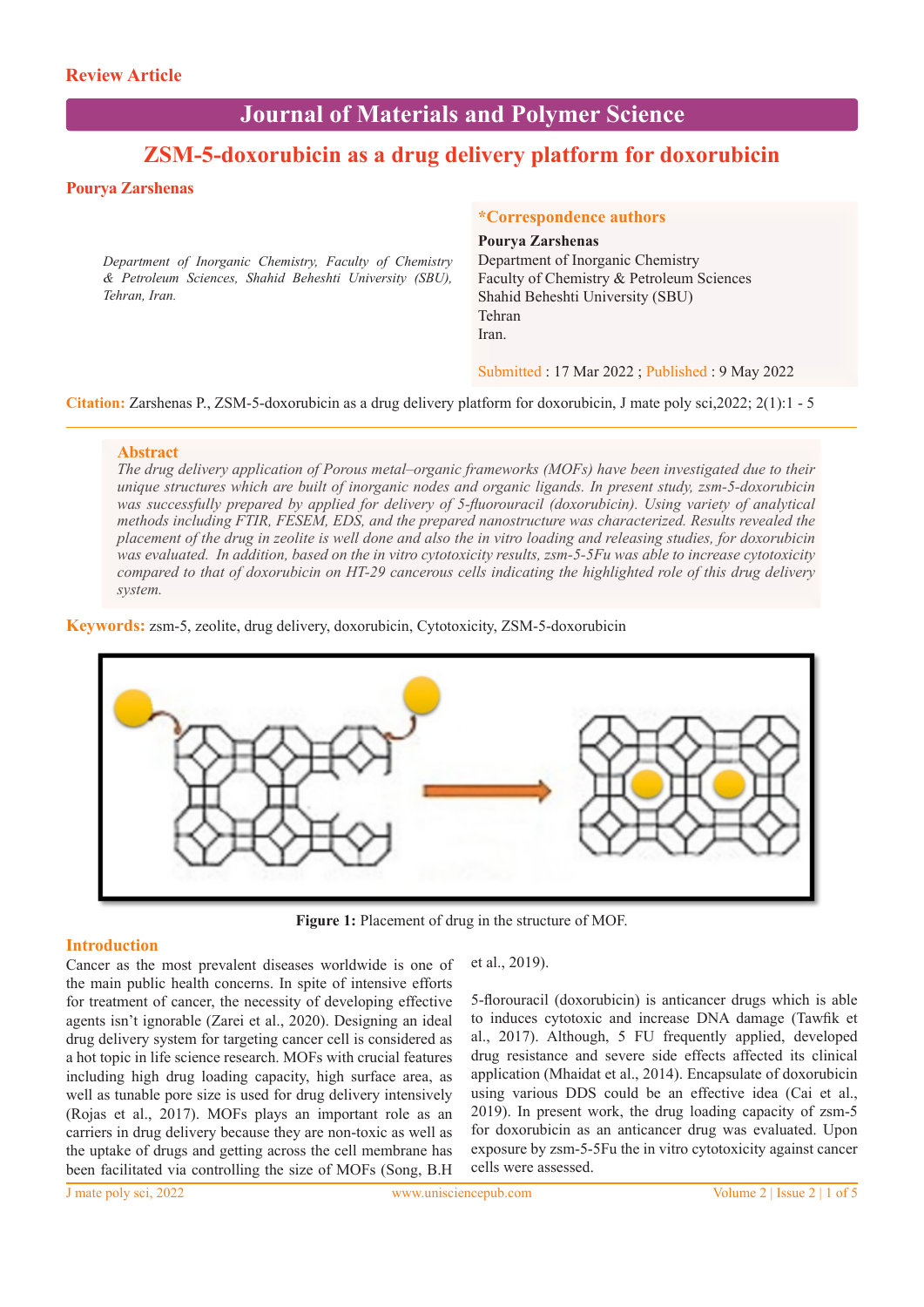# **Journal of Materials and Polymer Science**

## **ZSM-5-doxorubicin as a drug delivery platform for doxorubicin**

#### **Pourya Zarshenas**

*Department of Inorganic Chemistry, Faculty of Chemistry & Petroleum Sciences, Shahid Beheshti University (SBU), Tehran, Iran.*

#### **\*Correspondence authors**

#### **Pourya Zarshenas**

Department of Inorganic Chemistry Faculty of Chemistry & Petroleum Sciences Shahid Beheshti University (SBU) Tehran Iran.

Submitted : 17 Mar 2022 ; Published : 9 May 2022

**Citation:** Zarshenas P., ZSM-5-doxorubicin as a drug delivery platform for doxorubicin, J mate poly sci,2022; 2(1):1 - 5

#### **Abstract**

*The drug delivery application of Porous metal–organic frameworks (MOFs) have been investigated due to their unique structures which are built of inorganic nodes and organic ligands. In present study, zsm-5-doxorubicin was successfully prepared by applied for delivery of 5-fluorouracil (doxorubicin). Using variety of analytical methods including FTIR, FESEM, EDS, and the prepared nanostructure was characterized. Results revealed the placement of the drug in zeolite is well done and also the in vitro loading and releasing studies, for doxorubicin was evaluated. In addition, based on the in vitro cytotoxicity results, zsm-5-5Fu was able to increase cytotoxicity compared to that of doxorubicin on HT-29 cancerous cells indicating the highlighted role of this drug delivery system.* 

**Keywords:** zsm-5, zeolite, drug delivery, doxorubicin, Cytotoxicity, ZSM-5-doxorubicin



**Figure 1:** Placement of drug in the structure of MOF.

#### **Introduction**

Cancer as the most prevalent diseases worldwide is one of the main public health concerns. In spite of intensive efforts for treatment of cancer, the necessity of developing effective agents isn't ignorable (Zarei et al., 2020). Designing an ideal drug delivery system for targeting cancer cell is considered as a hot topic in life science research. MOFs with crucial features including high drug loading capacity, high surface area, as well as tunable pore size is used for drug delivery intensively (Rojas et al., 2017). MOFs plays an important role as an carriers in drug delivery because they are non-toxic as well as the uptake of drugs and getting across the cell membrane has been facilitated via controlling the size of MOFs (Song, B.H

et al., 2019).

5-florouracil (doxorubicin) is anticancer drugs which is able to induces cytotoxic and increase DNA damage (Tawfik et al., 2017). Although, 5 FU frequently applied, developed drug resistance and severe side effects affected its clinical application (Mhaidat et al., 2014). Encapsulate of doxorubicin using various DDS could be an effective idea (Cai et al., 2019). In present work, the drug loading capacity of zsm-5 for doxorubicin as an anticancer drug was evaluated. Upon exposure by zsm-5-5Fu the in vitro cytotoxicity against cancer cells were assessed.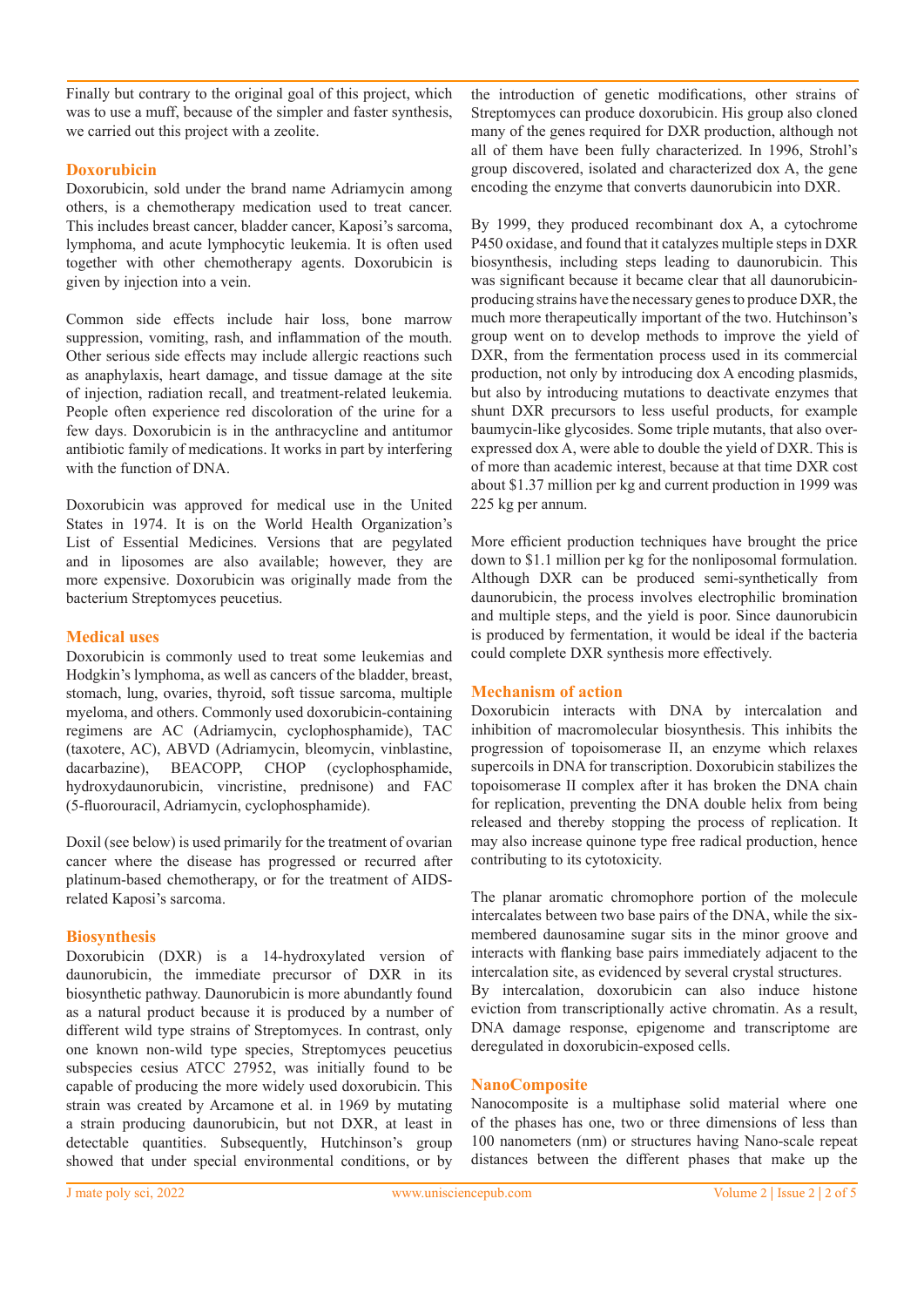Finally but contrary to the original goal of this project, which was to use a muff, because of the simpler and faster synthesis, we carried out this project with a zeolite.

#### **Doxorubicin**

Doxorubicin, sold under the brand name Adriamycin among others, is a chemotherapy medication used to treat cancer. This includes breast cancer, bladder cancer, Kaposi's sarcoma, lymphoma, and acute lymphocytic leukemia. It is often used together with other chemotherapy agents. Doxorubicin is given by injection into a vein.

Common side effects include hair loss, bone marrow suppression, vomiting, rash, and inflammation of the mouth. Other serious side effects may include allergic reactions such as anaphylaxis, heart damage, and tissue damage at the site of injection, radiation recall, and treatment-related leukemia. People often experience red discoloration of the urine for a few days. Doxorubicin is in the anthracycline and antitumor antibiotic family of medications. It works in part by interfering with the function of DNA.

Doxorubicin was approved for medical use in the United States in 1974. It is on the World Health Organization's List of Essential Medicines. Versions that are pegylated and in liposomes are also available; however, they are more expensive. Doxorubicin was originally made from the bacterium Streptomyces peucetius.

## **Medical uses**

Doxorubicin is commonly used to treat some leukemias and Hodgkin's lymphoma, as well as cancers of the bladder, breast, stomach, lung, ovaries, thyroid, soft tissue sarcoma, multiple myeloma, and others. Commonly used doxorubicin-containing regimens are AC (Adriamycin, cyclophosphamide), TAC (taxotere, AC), ABVD (Adriamycin, bleomycin, vinblastine, dacarbazine), BEACOPP, CHOP (cyclophosphamide, hydroxydaunorubicin, vincristine, prednisone) and FAC (5-fluorouracil, Adriamycin, cyclophosphamide).

Doxil (see below) is used primarily for the treatment of ovarian cancer where the disease has progressed or recurred after platinum-based chemotherapy, or for the treatment of AIDSrelated Kaposi's sarcoma.

## **Biosynthesis**

Doxorubicin (DXR) is a 14-hydroxylated version of daunorubicin, the immediate precursor of DXR in its biosynthetic pathway. Daunorubicin is more abundantly found as a natural product because it is produced by a number of different wild type strains of Streptomyces. In contrast, only one known non-wild type species, Streptomyces peucetius subspecies cesius ATCC 27952, was initially found to be capable of producing the more widely used doxorubicin. This strain was created by Arcamone et al. in 1969 by mutating a strain producing daunorubicin, but not DXR, at least in detectable quantities. Subsequently, Hutchinson's group showed that under special environmental conditions, or by

the introduction of genetic modifications, other strains of Streptomyces can produce doxorubicin. His group also cloned many of the genes required for DXR production, although not all of them have been fully characterized. In 1996, Strohl's group discovered, isolated and characterized dox A, the gene encoding the enzyme that converts daunorubicin into DXR.

By 1999, they produced recombinant dox A, a cytochrome P450 oxidase, and found that it catalyzes multiple steps in DXR biosynthesis, including steps leading to daunorubicin. This was significant because it became clear that all daunorubicinproducing strains have the necessary genes to produce DXR, the much more therapeutically important of the two. Hutchinson's group went on to develop methods to improve the yield of DXR, from the fermentation process used in its commercial production, not only by introducing dox A encoding plasmids, but also by introducing mutations to deactivate enzymes that shunt DXR precursors to less useful products, for example baumycin-like glycosides. Some triple mutants, that also overexpressed dox A, were able to double the yield of DXR. This is of more than academic interest, because at that time DXR cost about \$1.37 million per kg and current production in 1999 was 225 kg per annum.

More efficient production techniques have brought the price down to \$1.1 million per kg for the nonliposomal formulation. Although DXR can be produced semi-synthetically from daunorubicin, the process involves electrophilic bromination and multiple steps, and the yield is poor. Since daunorubicin is produced by fermentation, it would be ideal if the bacteria could complete DXR synthesis more effectively.

## **Mechanism of action**

Doxorubicin interacts with DNA by intercalation and inhibition of macromolecular biosynthesis. This inhibits the progression of topoisomerase II, an enzyme which relaxes supercoils in DNA for transcription. Doxorubicin stabilizes the topoisomerase II complex after it has broken the DNA chain for replication, preventing the DNA double helix from being released and thereby stopping the process of replication. It may also increase quinone type free radical production, hence contributing to its cytotoxicity.

The planar aromatic chromophore portion of the molecule intercalates between two base pairs of the DNA, while the sixmembered daunosamine sugar sits in the minor groove and interacts with flanking base pairs immediately adjacent to the intercalation site, as evidenced by several crystal structures. By intercalation, doxorubicin can also induce histone eviction from transcriptionally active chromatin. As a result, DNA damage response, epigenome and transcriptome are deregulated in doxorubicin-exposed cells.

## **NanoComposite**

Nanocomposite is a multiphase solid material where one of the phases has one, two or three dimensions of less than 100 nanometers (nm) or structures having Nano-scale repeat distances between the different phases that make up the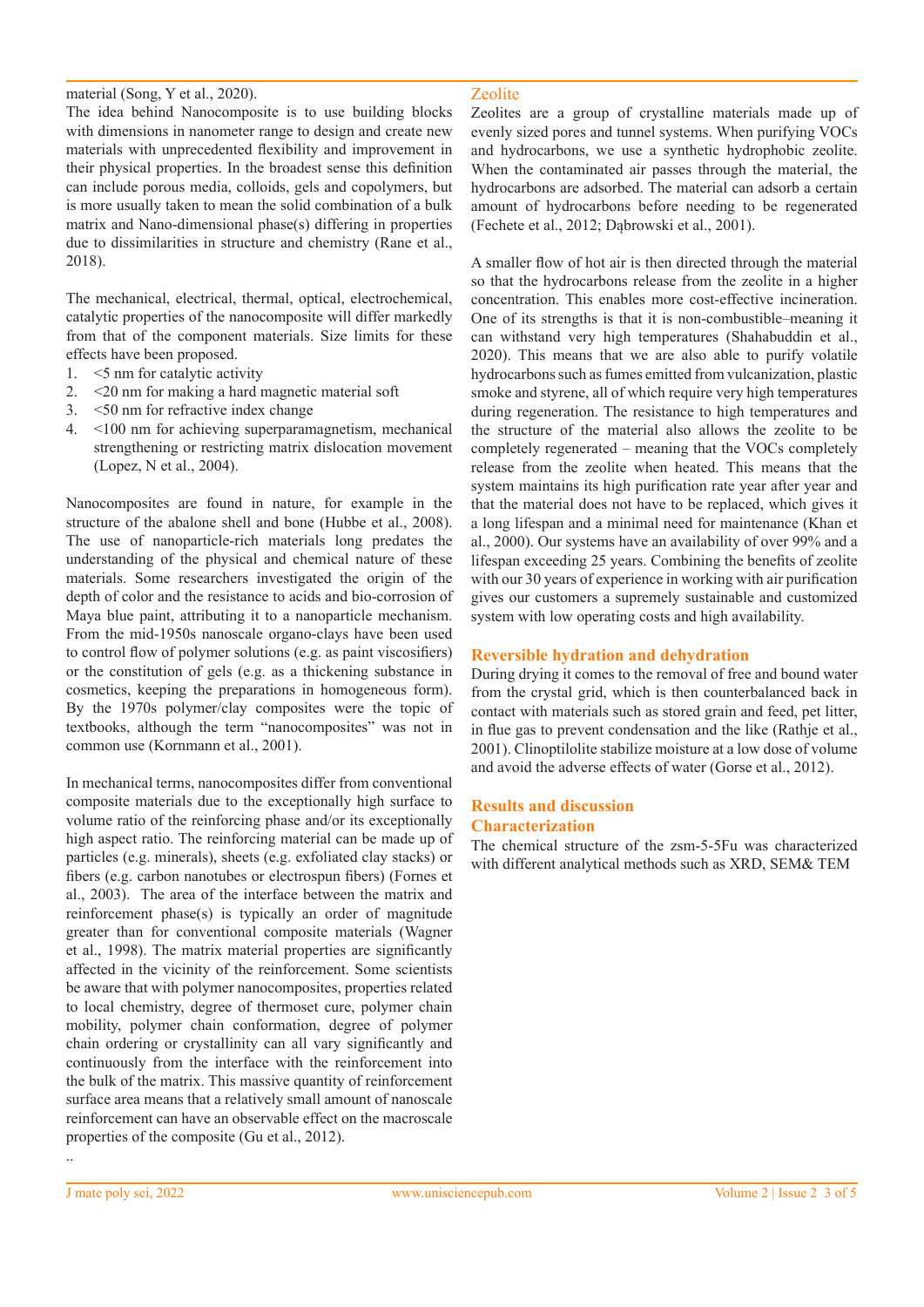#### material (Song, Y et al., 2020).

The idea behind Nanocomposite is to use building blocks with dimensions in nanometer range to design and create new materials with unprecedented flexibility and improvement in their physical properties. In the broadest sense this definition can include porous media, colloids, gels and copolymers, but is more usually taken to mean the solid combination of a bulk matrix and Nano-dimensional phase(s) differing in properties due to dissimilarities in structure and chemistry (Rane et al., 2018).

The mechanical, electrical, thermal, optical, electrochemical, catalytic properties of the nanocomposite will differ markedly from that of the component materials. Size limits for these effects have been proposed.

- 1. <5 nm for catalytic activity
- 2. <20 nm for making a hard magnetic material soft
- 3. <50 nm for refractive index change
- 4. <100 nm for achieving superparamagnetism, mechanical strengthening or restricting matrix dislocation movement (Lopez, N et al., 2004).

Nanocomposites are found in nature, for example in the structure of the abalone shell and bone (Hubbe et al., 2008). The use of nanoparticle-rich materials long predates the understanding of the physical and chemical nature of these materials. Some researchers investigated the origin of the depth of color and the resistance to acids and bio-corrosion of Maya blue paint, attributing it to a nanoparticle mechanism. From the mid-1950s nanoscale organo-clays have been used to control flow of polymer solutions (e.g. as paint viscosifiers) or the constitution of gels (e.g. as a thickening substance in cosmetics, keeping the preparations in homogeneous form). By the 1970s polymer/clay composites were the topic of textbooks, although the term "nanocomposites" was not in common use (Kornmann et al., 2001).

In mechanical terms, nanocomposites differ from conventional composite materials due to the exceptionally high surface to volume ratio of the reinforcing phase and/or its exceptionally high aspect ratio. The reinforcing material can be made up of particles (e.g. minerals), sheets (e.g. exfoliated clay stacks) or fibers (e.g. carbon nanotubes or electrospun fibers) (Fornes et al., 2003). The area of the interface between the matrix and reinforcement phase(s) is typically an order of magnitude greater than for conventional composite materials (Wagner et al., 1998). The matrix material properties are significantly affected in the vicinity of the reinforcement. Some scientists be aware that with polymer nanocomposites, properties related to local chemistry, degree of thermoset cure, polymer chain mobility, polymer chain conformation, degree of polymer chain ordering or crystallinity can all vary significantly and continuously from the interface with the reinforcement into the bulk of the matrix. This massive quantity of reinforcement surface area means that a relatively small amount of nanoscale reinforcement can have an observable effect on the macroscale properties of the composite (Gu et al., 2012).

#### Zeolite

Zeolites are a group of crystalline materials made up of evenly sized pores and tunnel systems. When purifying VOCs and hydrocarbons, we use a synthetic hydrophobic zeolite. When the contaminated air passes through the material, the hydrocarbons are adsorbed. The material can adsorb a certain amount of hydrocarbons before needing to be regenerated (Fechete et al., 2012; Dąbrowski et al., 2001).

A smaller flow of hot air is then directed through the material so that the hydrocarbons release from the zeolite in a higher concentration. This enables more cost-effective incineration. One of its strengths is that it is non-combustible–meaning it can withstand very high temperatures (Shahabuddin et al., 2020). This means that we are also able to purify volatile hydrocarbons such as fumes emitted from vulcanization, plastic smoke and styrene, all of which require very high temperatures during regeneration. The resistance to high temperatures and the structure of the material also allows the zeolite to be completely regenerated – meaning that the VOCs completely release from the zeolite when heated. This means that the system maintains its high purification rate year after year and that the material does not have to be replaced, which gives it a long lifespan and a minimal need for maintenance (Khan et al., 2000). Our systems have an availability of over 99% and a lifespan exceeding 25 years. Combining the benefits of zeolite with our 30 years of experience in working with air purification gives our customers a supremely sustainable and customized system with low operating costs and high availability.

## **Reversible hydration and dehydration**

During drying it comes to the removal of free and bound water from the crystal grid, which is then counterbalanced back in contact with materials such as stored grain and feed, pet litter, in flue gas to prevent condensation and the like (Rathje et al., 2001). Clinoptilolite stabilize moisture at a low dose of volume and avoid the adverse effects of water (Gorse et al., 2012).

#### **Results and discussion Characterization**

The chemical structure of the zsm-5-5Fu was characterized with different analytical methods such as XRD, SEM& TEM

..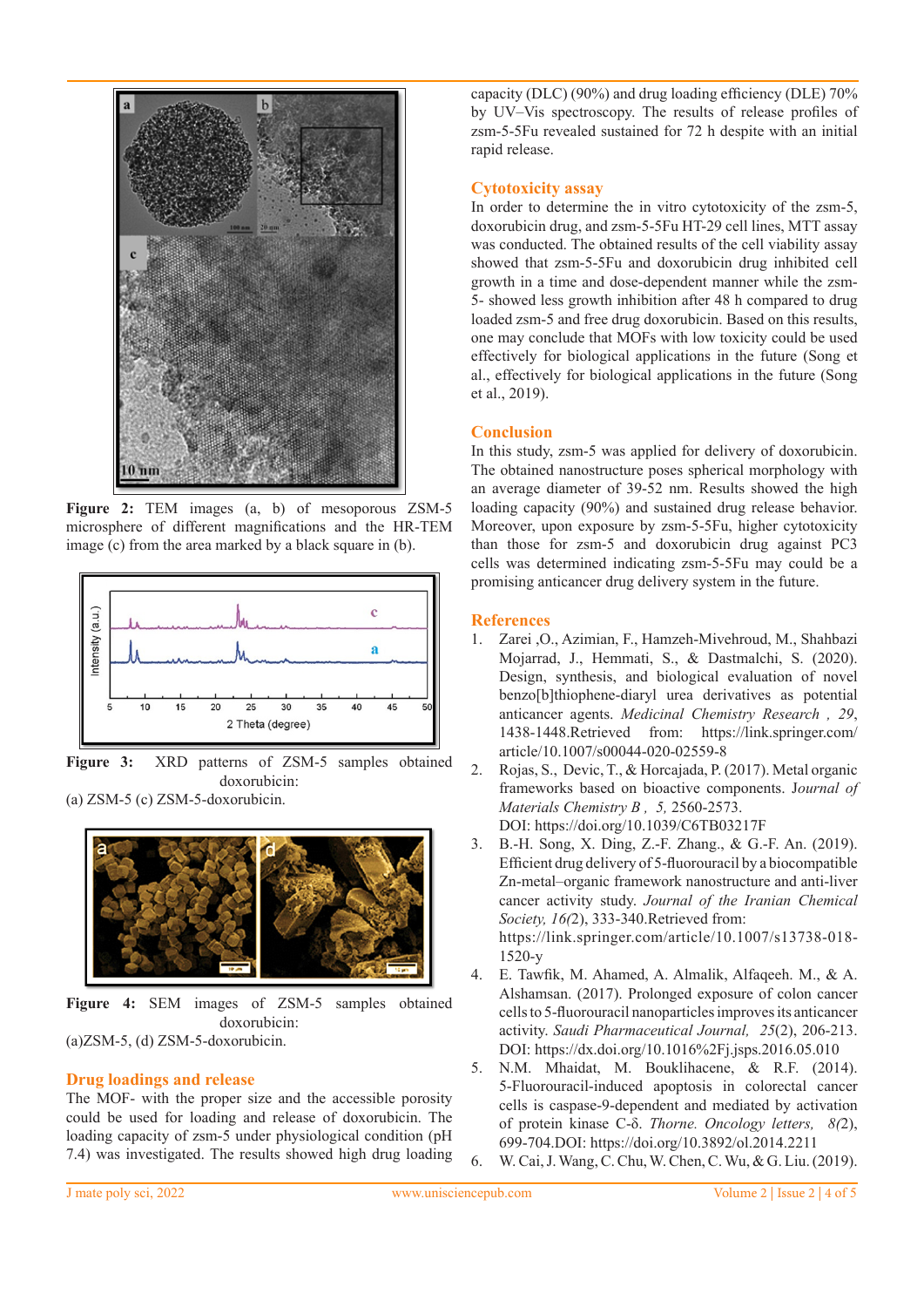

**Figure 2:** TEM images (a, b) of mesoporous ZSM-5 microsphere of different magnifications and the HR-TEM image (c) from the area marked by a black square in (b).



**Figure 3:** XRD patterns of ZSM-5 samples obtained doxorubicin: (a) ZSM-5 (c) ZSM-5-doxorubicin.



**Figure 4:** SEM images of ZSM-5 samples obtained doxorubicin: (a)ZSM-5, (d) ZSM-5-doxorubicin.

## **Drug loadings and release**

The MOF- with the proper size and the accessible porosity could be used for loading and release of doxorubicin. The loading capacity of zsm-5 under physiological condition (pH 7.4) was investigated. The results showed high drug loading capacity (DLC) (90%) and drug loading efficiency (DLE) 70% by UV–Vis spectroscopy. The results of release profiles of zsm-5-5Fu revealed sustained for 72 h despite with an initial rapid release.

#### **Cytotoxicity assay**

In order to determine the in vitro cytotoxicity of the zsm-5, doxorubicin drug, and zsm-5-5Fu HT-29 cell lines, MTT assay was conducted. The obtained results of the cell viability assay showed that zsm-5-5Fu and doxorubicin drug inhibited cell growth in a time and dose-dependent manner while the zsm-5- showed less growth inhibition after 48 h compared to drug loaded zsm-5 and free drug doxorubicin. Based on this results, one may conclude that MOFs with low toxicity could be used effectively for biological applications in the future (Song et al., effectively for biological applications in the future (Song et al., 2019).

#### **Conclusion**

In this study, zsm-5 was applied for delivery of doxorubicin. The obtained nanostructure poses spherical morphology with an average diameter of 39-52 nm. Results showed the high loading capacity (90%) and sustained drug release behavior. Moreover, upon exposure by zsm-5-5Fu, higher cytotoxicity than those for zsm-5 and doxorubicin drug against PC3 cells was determined indicating zsm-5-5Fu may could be a promising anticancer drug delivery system in the future.

#### **References**

- 1. Zarei ,O., Azimian, F., Hamzeh-Mivehroud, M., Shahbazi Mojarrad, J., Hemmati, S., & Dastmalchi, S. (2020). Design, synthesis, and biological evaluation of novel benzo[b]thiophene-diaryl urea derivatives as potential anticancer agents. *Medicinal Chemistry Research , 29*, 1438-1448.Retrieved from: https://link.springer.com/ article/10.1007/s00044-020-02559-8
- 2. Rojas, S., Devic, T., & Horcajada, P. (2017). Metal organic frameworks based on bioactive components. J*ournal of Materials Chemistry B , 5,* 2560-2573. DOI: https://doi.org/10.1039/C6TB03217F
- 3. B.-H. Song, X. Ding, Z.-F. Zhang., & G.-F. An. (2019). Efficient drug delivery of 5-fluorouracil by a biocompatible Zn-metal–organic framework nanostructure and anti-liver cancer activity study. *Journal of the Iranian Chemical Society, 16(*2), 333-340.Retrieved from: https://link.springer.com/article/10.1007/s13738-018- 1520-y
- 4. E. Tawfik, M. Ahamed, A. Almalik, Alfaqeeh. M., & A. Alshamsan. (2017). Prolonged exposure of colon cancer cells to 5-fluorouracil nanoparticles improves its anticancer activity. *Saudi Pharmaceutical Journal, 25*(2), 206-213. DOI: https://dx.doi.org/10.1016%2Fj.jsps.2016.05.010
- 5. N.M. Mhaidat, M. Bouklihacene, & R.F. (2014). 5-Fluorouracil-induced apoptosis in colorectal cancer cells is caspase-9-dependent and mediated by activation of protein kinase C-δ. *Thorne. Oncology letters, 8(*2), 699-704.DOI: https://doi.org/10.3892/ol.2014.2211
- 6. W. Cai, J. Wang, C. Chu, W. Chen, C. Wu, & G. Liu. (2019).